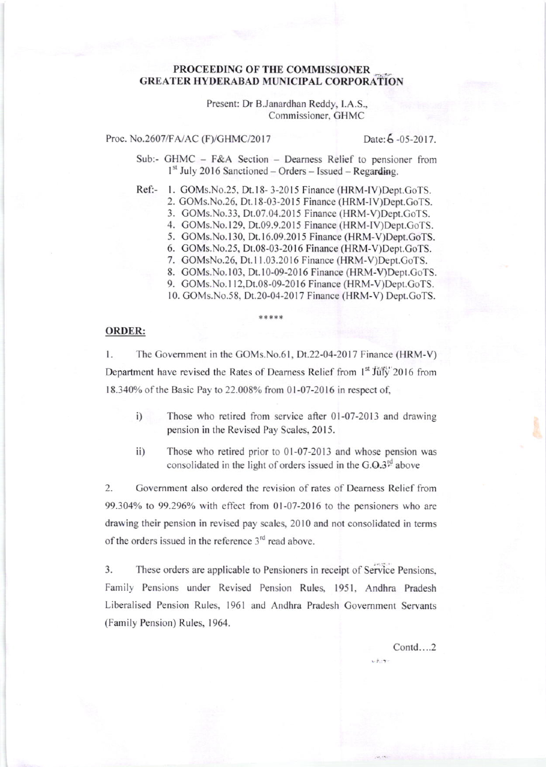## PROCEEDING OF THE COMMISSIONER **GREATER HYDERABAD MUNICIPAL CORPORATION**

Present: Dr B.Janardhan Reddy, I.A.S., Commissioner, GHMC

Proc. No.2607/FA/AC (F)/GHMC/2017

Date: 6-05-2017.

Sub:- GHMC - F&A Section - Dearness Relief to pensioner from  $1<sup>st</sup>$  July 2016 Sanctioned – Orders – Issued – Regarding.

Ref:- 1. GOMs.No.25, Dt.18-3-2015 Finance (HRM-IV)Dept.GoTS.

2. GOMs.No.26, Dt.18-03-2015 Finance (HRM-IV)Dept.GoTS.

3. GOMs.No.33, Dt.07.04.2015 Finance (HRM-V)Dept.GoTS.

4. GOMs.No.129, Dt.09.9.2015 Finance (HRM-IV)Dept.GoTS.

5. GOMs.No.130, Dt.16.09.2015 Finance (HRM-V)Dept.GoTS.

- 6. GOMs. No. 25, Dt. 08-03-2016 Finance (HRM-V)Dept. GoTS.
- 7. GOMsNo.26, Dt.11.03.2016 Finance (HRM-V)Dept.GoTS.
- 8. GOMs.No.103, Dt.10-09-2016 Finance (HRM-V)Dept.GoTS.

9. GOMs. No. 112, Dt. 08-09-2016 Finance (HRM-V) Dept. GoTS.

10. GOMs.No.58, Dt.20-04-2017 Finance (HRM-V) Dept.GoTS.

## **ORDER:**

The Government in the GOMs.No.61, Dt.22-04-2017 Finance (HRM-V)  $\mathbf{1}$ . Department have revised the Rates of Dearness Relief from 1<sup>st</sup> July 2016 from 18.340% of the Basic Pay to 22.008% from 01-07-2016 in respect of,

- Those who retired from service after 01-07-2013 and drawing  $i)$ pension in the Revised Pay Scales, 2015.
- Those who retired prior to 01-07-2013 and whose pension was  $\mathbf{ii}$ consolidated in the light of orders issued in the  $G.\Omega \mathfrak{Z}^{\text{rd}}$  above

2. Government also ordered the revision of rates of Dearness Relief from 99.304% to 99.296% with effect from 01-07-2016 to the pensioners who are drawing their pension in revised pay scales, 2010 and not consolidated in terms of the orders issued in the reference  $3<sup>rd</sup>$  read above.

3. These orders are applicable to Pensioners in receipt of Service Pensions, Family Pensions under Revised Pension Rules, 1951, Andhra Pradesh Liberalised Pension Rules, 1961 and Andhra Pradesh Government Servants (Family Pension) Rules, 1964.

Contd....2

 $1.7.7$